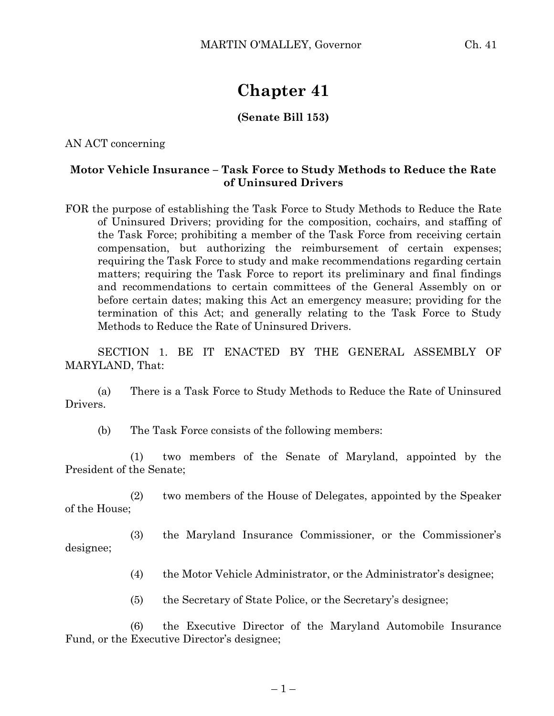# **Chapter 41**

## **(Senate Bill 153)**

AN ACT concerning

### **Motor Vehicle Insurance – Task Force to Study Methods to Reduce the Rate of Uninsured Drivers**

FOR the purpose of establishing the Task Force to Study Methods to Reduce the Rate of Uninsured Drivers; providing for the composition, cochairs, and staffing of the Task Force; prohibiting a member of the Task Force from receiving certain compensation, but authorizing the reimbursement of certain expenses; requiring the Task Force to study and make recommendations regarding certain matters; requiring the Task Force to report its preliminary and final findings and recommendations to certain committees of the General Assembly on or before certain dates; making this Act an emergency measure; providing for the termination of this Act; and generally relating to the Task Force to Study Methods to Reduce the Rate of Uninsured Drivers.

SECTION 1. BE IT ENACTED BY THE GENERAL ASSEMBLY OF MARYLAND, That:

(a) There is a Task Force to Study Methods to Reduce the Rate of Uninsured Drivers.

(b) The Task Force consists of the following members:

(1) two members of the Senate of Maryland, appointed by the President of the Senate;

(2) two members of the House of Delegates, appointed by the Speaker of the House;

(3) the Maryland Insurance Commissioner, or the Commissioner's designee;

(4) the Motor Vehicle Administrator, or the Administrator's designee;

(5) the Secretary of State Police, or the Secretary's designee;

(6) the Executive Director of the Maryland Automobile Insurance Fund, or the Executive Director's designee;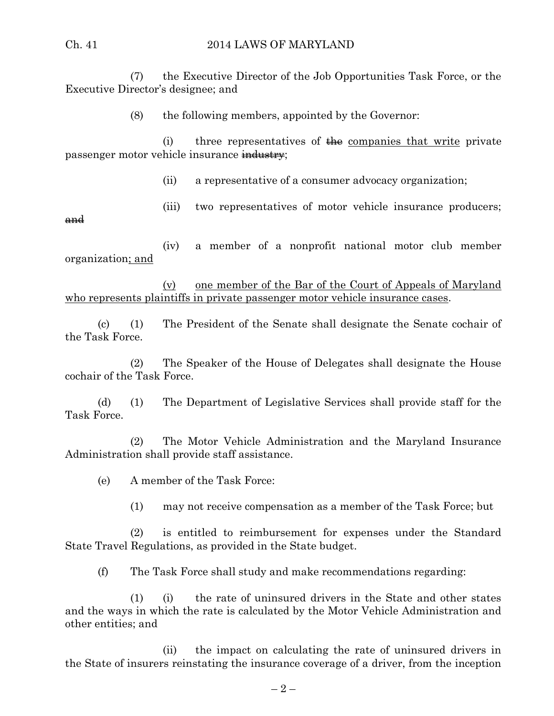#### Ch. 41 2014 LAWS OF MARYLAND

(7) the Executive Director of the Job Opportunities Task Force, or the Executive Director's designee; and

(8) the following members, appointed by the Governor:

(i) three representatives of  $\frac{1}{x}$  the companies that write private passenger motor vehicle insurance industry;

(ii) a representative of a consumer advocacy organization;

(iii) two representatives of motor vehicle insurance producers;

and

(iv) a member of a nonprofit national motor club member organization; and

(v) one member of the Bar of the Court of Appeals of Maryland who represents plaintiffs in private passenger motor vehicle insurance cases.

(c) (1) The President of the Senate shall designate the Senate cochair of the Task Force.

(2) The Speaker of the House of Delegates shall designate the House cochair of the Task Force.

(d) (1) The Department of Legislative Services shall provide staff for the Task Force.

(2) The Motor Vehicle Administration and the Maryland Insurance Administration shall provide staff assistance.

(e) A member of the Task Force:

(1) may not receive compensation as a member of the Task Force; but

(2) is entitled to reimbursement for expenses under the Standard State Travel Regulations, as provided in the State budget.

(f) The Task Force shall study and make recommendations regarding:

(1) (i) the rate of uninsured drivers in the State and other states and the ways in which the rate is calculated by the Motor Vehicle Administration and other entities; and

(ii) the impact on calculating the rate of uninsured drivers in the State of insurers reinstating the insurance coverage of a driver, from the inception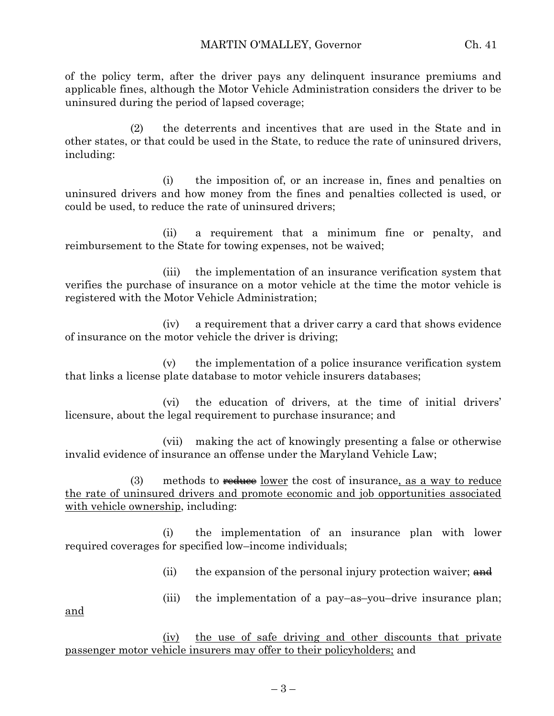of the policy term, after the driver pays any delinquent insurance premiums and applicable fines, although the Motor Vehicle Administration considers the driver to be uninsured during the period of lapsed coverage;

(2) the deterrents and incentives that are used in the State and in other states, or that could be used in the State, to reduce the rate of uninsured drivers, including:

(i) the imposition of, or an increase in, fines and penalties on uninsured drivers and how money from the fines and penalties collected is used, or could be used, to reduce the rate of uninsured drivers;

(ii) a requirement that a minimum fine or penalty, and reimbursement to the State for towing expenses, not be waived;

(iii) the implementation of an insurance verification system that verifies the purchase of insurance on a motor vehicle at the time the motor vehicle is registered with the Motor Vehicle Administration;

(iv) a requirement that a driver carry a card that shows evidence of insurance on the motor vehicle the driver is driving;

(v) the implementation of a police insurance verification system that links a license plate database to motor vehicle insurers databases;

(vi) the education of drivers, at the time of initial drivers' licensure, about the legal requirement to purchase insurance; and

(vii) making the act of knowingly presenting a false or otherwise invalid evidence of insurance an offense under the Maryland Vehicle Law;

(3) methods to  $\frac{reduce\ lower}{e}$  the cost of insurance, as a way to reduce the rate of uninsured drivers and promote economic and job opportunities associated with vehicle ownership, including:

(i) the implementation of an insurance plan with lower required coverages for specified low–income individuals;

(ii) the expansion of the personal injury protection waiver;  $\theta$ 

and

(iii) the implementation of a pay–as–you–drive insurance plan;

(iv) the use of safe driving and other discounts that private passenger motor vehicle insurers may offer to their policyholders; and